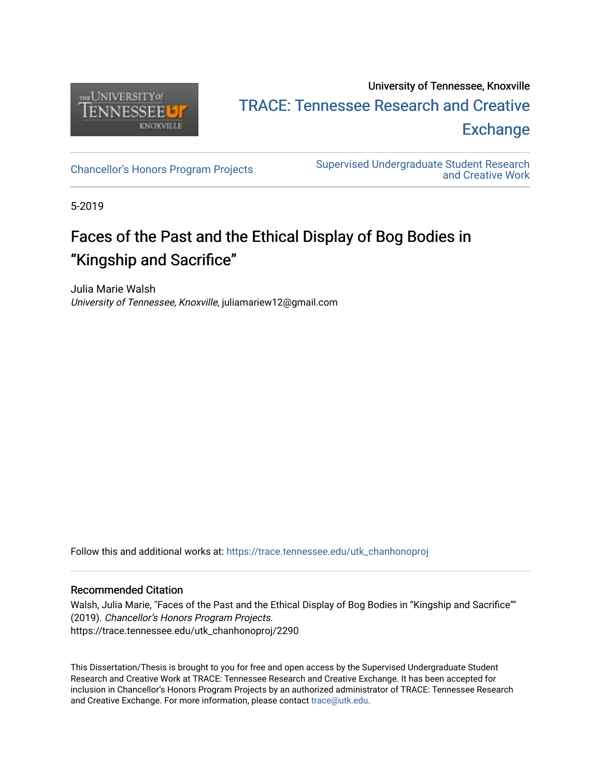

# University of Tennessee, Knoxville TRACE: T[ennessee Research and Cr](https://trace.tennessee.edu/)eative **Exchange**

[Chancellor's Honors Program Projects](https://trace.tennessee.edu/utk_chanhonoproj) Supervised Undergraduate Student Research [and Creative Work](https://trace.tennessee.edu/utk_supug) 

5-2019

# Faces of the Past and the Ethical Display of Bog Bodies in "Kingship and Sacrifice"

Julia Marie Walsh University of Tennessee, Knoxville, juliamariew12@gmail.com

Follow this and additional works at: [https://trace.tennessee.edu/utk\\_chanhonoproj](https://trace.tennessee.edu/utk_chanhonoproj?utm_source=trace.tennessee.edu%2Futk_chanhonoproj%2F2290&utm_medium=PDF&utm_campaign=PDFCoverPages) 

# Recommended Citation

Walsh, Julia Marie, "Faces of the Past and the Ethical Display of Bog Bodies in "Kingship and Sacrifice"" (2019). Chancellor's Honors Program Projects. https://trace.tennessee.edu/utk\_chanhonoproj/2290

This Dissertation/Thesis is brought to you for free and open access by the Supervised Undergraduate Student Research and Creative Work at TRACE: Tennessee Research and Creative Exchange. It has been accepted for inclusion in Chancellor's Honors Program Projects by an authorized administrator of TRACE: Tennessee Research and Creative Exchange. For more information, please contact [trace@utk.edu](mailto:trace@utk.edu).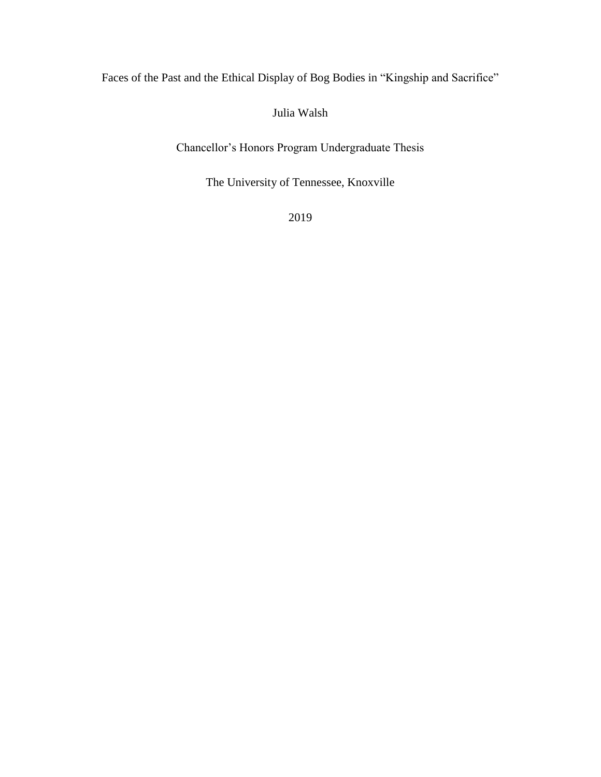Faces of the Past and the Ethical Display of Bog Bodies in "Kingship and Sacrifice"

Julia Walsh

Chancellor's Honors Program Undergraduate Thesis

The University of Tennessee, Knoxville

2019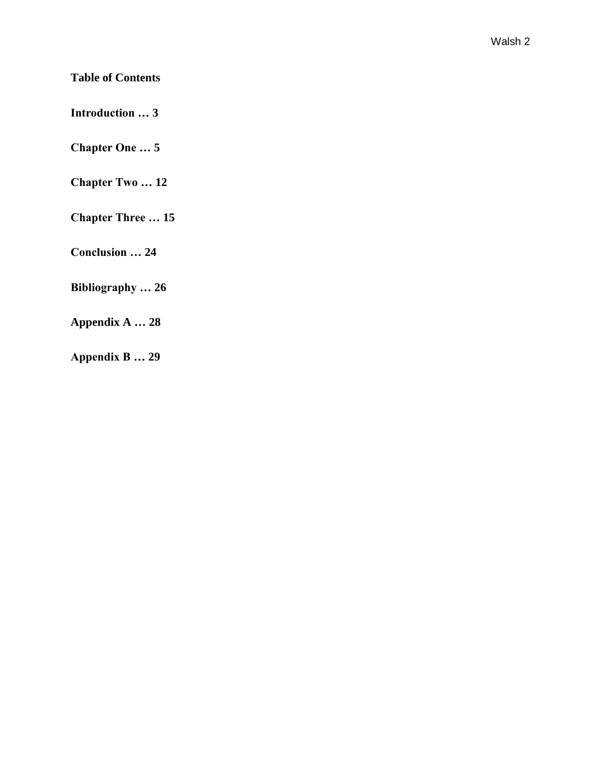# **Table of Contents**

**Introduction … 3**

**Chapter One … 5**

**Chapter Two … 12**

**Chapter Three … 15**

**Conclusion … 24** 

**Bibliography … 26**

**Appendix A … 28**

**Appendix B … 29**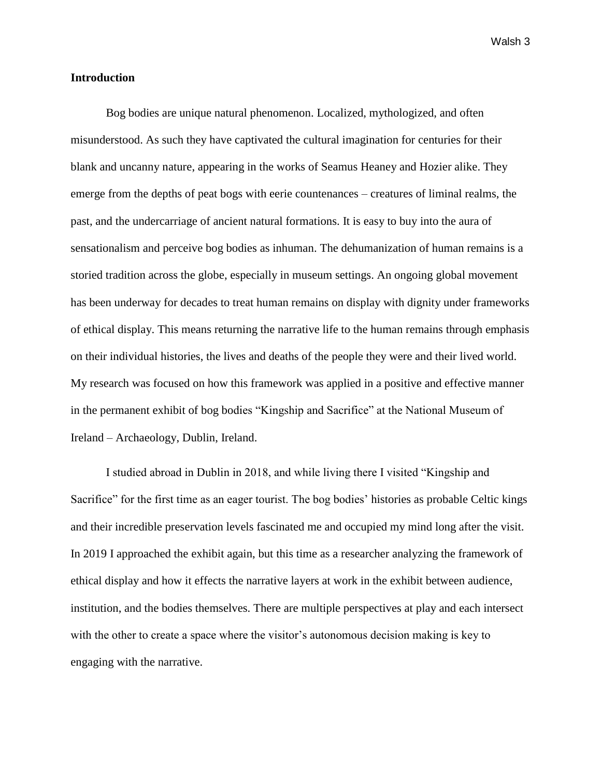### **Introduction**

Bog bodies are unique natural phenomenon. Localized, mythologized, and often misunderstood. As such they have captivated the cultural imagination for centuries for their blank and uncanny nature, appearing in the works of Seamus Heaney and Hozier alike. They emerge from the depths of peat bogs with eerie countenances – creatures of liminal realms, the past, and the undercarriage of ancient natural formations. It is easy to buy into the aura of sensationalism and perceive bog bodies as inhuman. The dehumanization of human remains is a storied tradition across the globe, especially in museum settings. An ongoing global movement has been underway for decades to treat human remains on display with dignity under frameworks of ethical display. This means returning the narrative life to the human remains through emphasis on their individual histories, the lives and deaths of the people they were and their lived world. My research was focused on how this framework was applied in a positive and effective manner in the permanent exhibit of bog bodies "Kingship and Sacrifice" at the National Museum of Ireland – Archaeology, Dublin, Ireland.

I studied abroad in Dublin in 2018, and while living there I visited "Kingship and Sacrifice" for the first time as an eager tourist. The bog bodies' histories as probable Celtic kings and their incredible preservation levels fascinated me and occupied my mind long after the visit. In 2019 I approached the exhibit again, but this time as a researcher analyzing the framework of ethical display and how it effects the narrative layers at work in the exhibit between audience, institution, and the bodies themselves. There are multiple perspectives at play and each intersect with the other to create a space where the visitor's autonomous decision making is key to engaging with the narrative.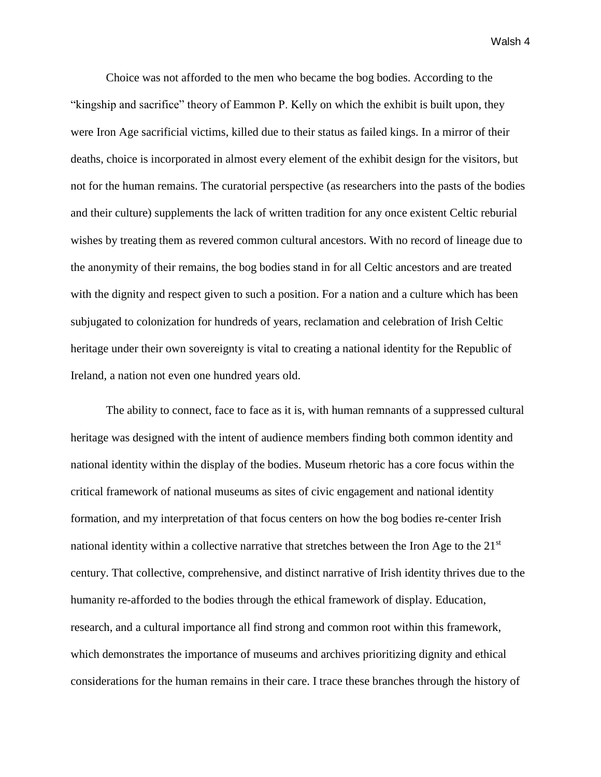Choice was not afforded to the men who became the bog bodies. According to the "kingship and sacrifice" theory of Eammon P. Kelly on which the exhibit is built upon, they were Iron Age sacrificial victims, killed due to their status as failed kings. In a mirror of their deaths, choice is incorporated in almost every element of the exhibit design for the visitors, but not for the human remains. The curatorial perspective (as researchers into the pasts of the bodies and their culture) supplements the lack of written tradition for any once existent Celtic reburial wishes by treating them as revered common cultural ancestors. With no record of lineage due to the anonymity of their remains, the bog bodies stand in for all Celtic ancestors and are treated with the dignity and respect given to such a position. For a nation and a culture which has been subjugated to colonization for hundreds of years, reclamation and celebration of Irish Celtic heritage under their own sovereignty is vital to creating a national identity for the Republic of Ireland, a nation not even one hundred years old.

The ability to connect, face to face as it is, with human remnants of a suppressed cultural heritage was designed with the intent of audience members finding both common identity and national identity within the display of the bodies. Museum rhetoric has a core focus within the critical framework of national museums as sites of civic engagement and national identity formation, and my interpretation of that focus centers on how the bog bodies re-center Irish national identity within a collective narrative that stretches between the Iron Age to the 21<sup>st</sup> century. That collective, comprehensive, and distinct narrative of Irish identity thrives due to the humanity re-afforded to the bodies through the ethical framework of display. Education, research, and a cultural importance all find strong and common root within this framework, which demonstrates the importance of museums and archives prioritizing dignity and ethical considerations for the human remains in their care. I trace these branches through the history of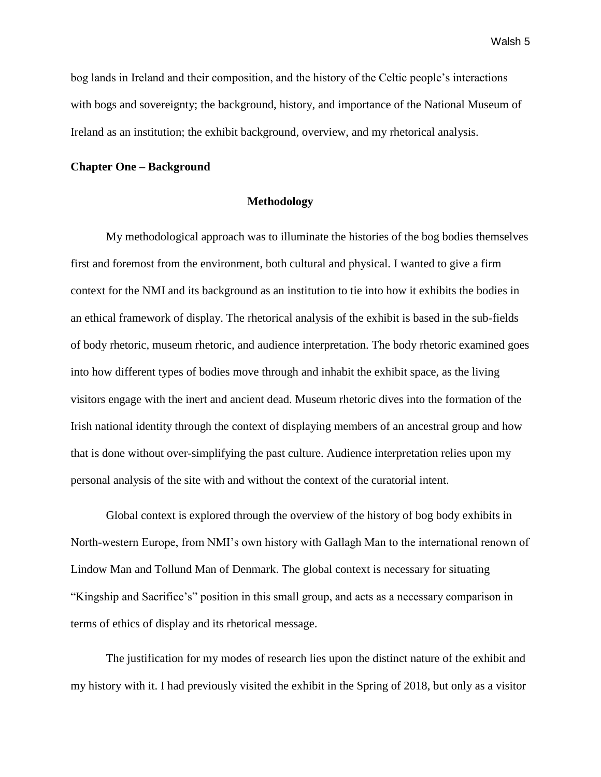bog lands in Ireland and their composition, and the history of the Celtic people's interactions with bogs and sovereignty; the background, history, and importance of the National Museum of Ireland as an institution; the exhibit background, overview, and my rhetorical analysis.

#### **Chapter One – Background**

#### **Methodology**

My methodological approach was to illuminate the histories of the bog bodies themselves first and foremost from the environment, both cultural and physical. I wanted to give a firm context for the NMI and its background as an institution to tie into how it exhibits the bodies in an ethical framework of display. The rhetorical analysis of the exhibit is based in the sub-fields of body rhetoric, museum rhetoric, and audience interpretation. The body rhetoric examined goes into how different types of bodies move through and inhabit the exhibit space, as the living visitors engage with the inert and ancient dead. Museum rhetoric dives into the formation of the Irish national identity through the context of displaying members of an ancestral group and how that is done without over-simplifying the past culture. Audience interpretation relies upon my personal analysis of the site with and without the context of the curatorial intent.

Global context is explored through the overview of the history of bog body exhibits in North-western Europe, from NMI's own history with Gallagh Man to the international renown of Lindow Man and Tollund Man of Denmark. The global context is necessary for situating "Kingship and Sacrifice's" position in this small group, and acts as a necessary comparison in terms of ethics of display and its rhetorical message.

The justification for my modes of research lies upon the distinct nature of the exhibit and my history with it. I had previously visited the exhibit in the Spring of 2018, but only as a visitor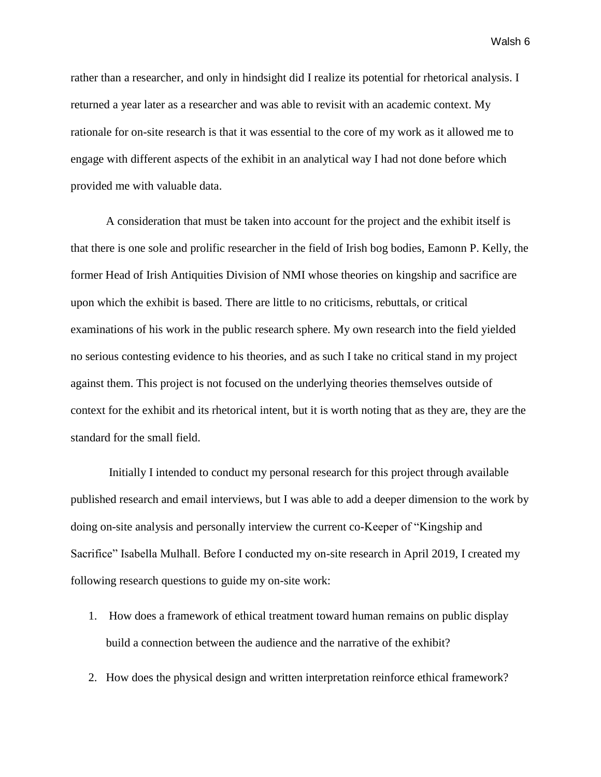rather than a researcher, and only in hindsight did I realize its potential for rhetorical analysis. I returned a year later as a researcher and was able to revisit with an academic context. My rationale for on-site research is that it was essential to the core of my work as it allowed me to engage with different aspects of the exhibit in an analytical way I had not done before which provided me with valuable data.

A consideration that must be taken into account for the project and the exhibit itself is that there is one sole and prolific researcher in the field of Irish bog bodies, Eamonn P. Kelly, the former Head of Irish Antiquities Division of NMI whose theories on kingship and sacrifice are upon which the exhibit is based. There are little to no criticisms, rebuttals, or critical examinations of his work in the public research sphere. My own research into the field yielded no serious contesting evidence to his theories, and as such I take no critical stand in my project against them. This project is not focused on the underlying theories themselves outside of context for the exhibit and its rhetorical intent, but it is worth noting that as they are, they are the standard for the small field.

Initially I intended to conduct my personal research for this project through available published research and email interviews, but I was able to add a deeper dimension to the work by doing on-site analysis and personally interview the current co-Keeper of "Kingship and Sacrifice" Isabella Mulhall. Before I conducted my on-site research in April 2019, I created my following research questions to guide my on-site work:

- 1. How does a framework of ethical treatment toward human remains on public display build a connection between the audience and the narrative of the exhibit?
- 2. How does the physical design and written interpretation reinforce ethical framework?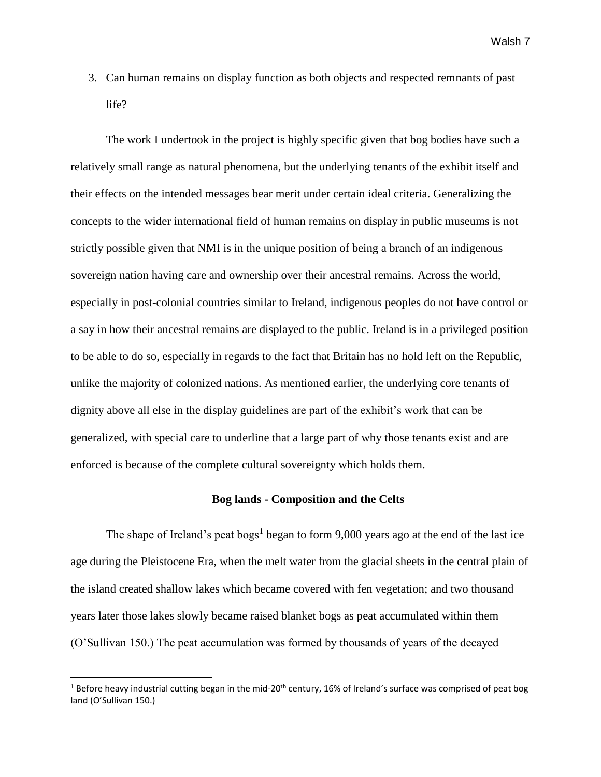3. Can human remains on display function as both objects and respected remnants of past life?

The work I undertook in the project is highly specific given that bog bodies have such a relatively small range as natural phenomena, but the underlying tenants of the exhibit itself and their effects on the intended messages bear merit under certain ideal criteria. Generalizing the concepts to the wider international field of human remains on display in public museums is not strictly possible given that NMI is in the unique position of being a branch of an indigenous sovereign nation having care and ownership over their ancestral remains. Across the world, especially in post-colonial countries similar to Ireland, indigenous peoples do not have control or a say in how their ancestral remains are displayed to the public. Ireland is in a privileged position to be able to do so, especially in regards to the fact that Britain has no hold left on the Republic, unlike the majority of colonized nations. As mentioned earlier, the underlying core tenants of dignity above all else in the display guidelines are part of the exhibit's work that can be generalized, with special care to underline that a large part of why those tenants exist and are enforced is because of the complete cultural sovereignty which holds them.

#### **Bog lands - Composition and the Celts**

The shape of Ireland's peat bogs<sup>1</sup> began to form 9,000 years ago at the end of the last ice age during the Pleistocene Era, when the melt water from the glacial sheets in the central plain of the island created shallow lakes which became covered with fen vegetation; and two thousand years later those lakes slowly became raised blanket bogs as peat accumulated within them (O'Sullivan 150.) The peat accumulation was formed by thousands of years of the decayed

 $\overline{\phantom{a}}$ 

<sup>&</sup>lt;sup>1</sup> Before heavy industrial cutting began in the mid-20<sup>th</sup> century, 16% of Ireland's surface was comprised of peat bog land (O'Sullivan 150.)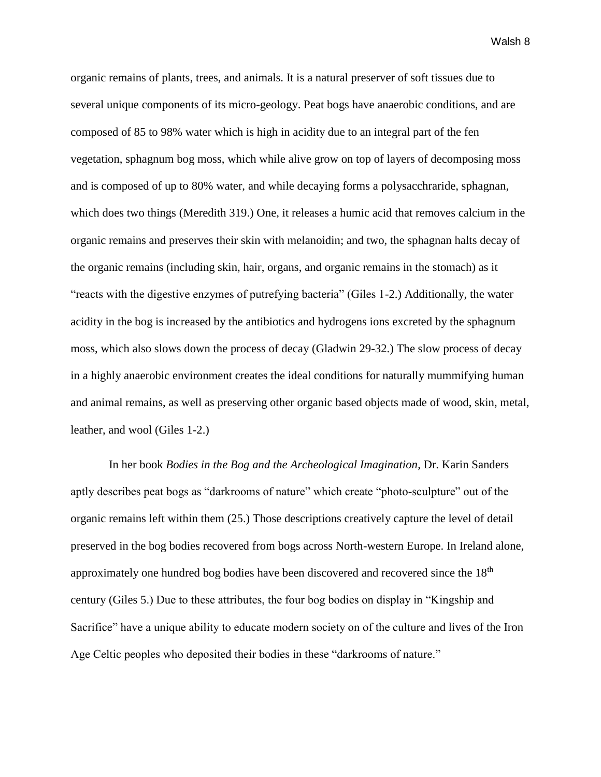organic remains of plants, trees, and animals. It is a natural preserver of soft tissues due to several unique components of its micro-geology. Peat bogs have anaerobic conditions, and are composed of 85 to 98% water which is high in acidity due to an integral part of the fen vegetation, sphagnum bog moss, which while alive grow on top of layers of decomposing moss and is composed of up to 80% water, and while decaying forms a polysacchraride, sphagnan, which does two things (Meredith 319.) One, it releases a humic acid that removes calcium in the organic remains and preserves their skin with melanoidin; and two, the sphagnan halts decay of the organic remains (including skin, hair, organs, and organic remains in the stomach) as it "reacts with the digestive enzymes of putrefying bacteria" (Giles 1-2.) Additionally, the water acidity in the bog is increased by the antibiotics and hydrogens ions excreted by the sphagnum moss, which also slows down the process of decay (Gladwin 29-32.) The slow process of decay in a highly anaerobic environment creates the ideal conditions for naturally mummifying human and animal remains, as well as preserving other organic based objects made of wood, skin, metal, leather, and wool (Giles 1-2.)

In her book *Bodies in the Bog and the Archeological Imagination*, Dr. Karin Sanders aptly describes peat bogs as "darkrooms of nature" which create "photo-sculpture" out of the organic remains left within them (25.) Those descriptions creatively capture the level of detail preserved in the bog bodies recovered from bogs across North-western Europe. In Ireland alone, approximately one hundred bog bodies have been discovered and recovered since the 18th century (Giles 5.) Due to these attributes, the four bog bodies on display in "Kingship and Sacrifice" have a unique ability to educate modern society on of the culture and lives of the Iron Age Celtic peoples who deposited their bodies in these "darkrooms of nature."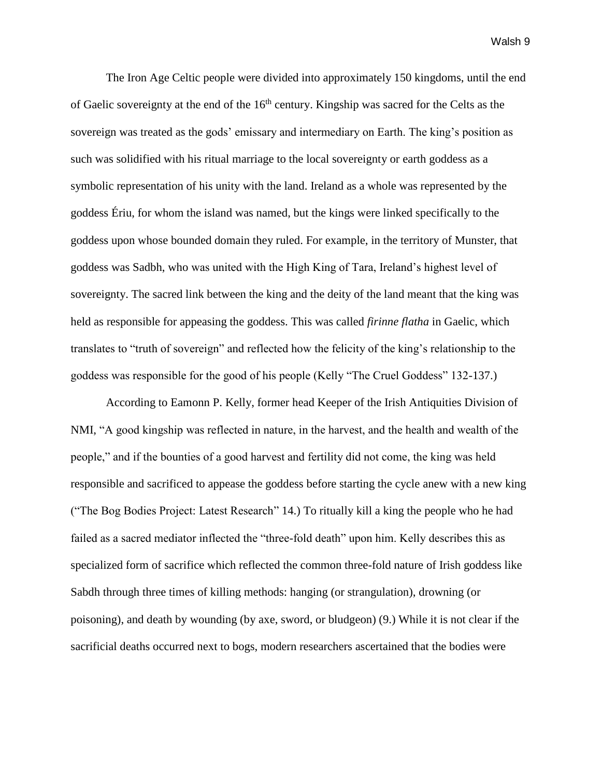The Iron Age Celtic people were divided into approximately 150 kingdoms, until the end of Gaelic sovereignty at the end of the  $16<sup>th</sup>$  century. Kingship was sacred for the Celts as the sovereign was treated as the gods' emissary and intermediary on Earth. The king's position as such was solidified with his ritual marriage to the local sovereignty or earth goddess as a symbolic representation of his unity with the land. Ireland as a whole was represented by the goddess Ériu, for whom the island was named, but the kings were linked specifically to the goddess upon whose bounded domain they ruled. For example, in the territory of Munster, that goddess was Sadbh, who was united with the High King of Tara, Ireland's highest level of sovereignty. The sacred link between the king and the deity of the land meant that the king was held as responsible for appeasing the goddess. This was called *firinne flatha* in Gaelic, which translates to "truth of sovereign" and reflected how the felicity of the king's relationship to the goddess was responsible for the good of his people (Kelly "The Cruel Goddess" 132-137.)

According to Eamonn P. Kelly, former head Keeper of the Irish Antiquities Division of NMI, "A good kingship was reflected in nature, in the harvest, and the health and wealth of the people," and if the bounties of a good harvest and fertility did not come, the king was held responsible and sacrificed to appease the goddess before starting the cycle anew with a new king ("The Bog Bodies Project: Latest Research" 14.) To ritually kill a king the people who he had failed as a sacred mediator inflected the "three-fold death" upon him. Kelly describes this as specialized form of sacrifice which reflected the common three-fold nature of Irish goddess like Sabdh through three times of killing methods: hanging (or strangulation), drowning (or poisoning), and death by wounding (by axe, sword, or bludgeon) (9.) While it is not clear if the sacrificial deaths occurred next to bogs, modern researchers ascertained that the bodies were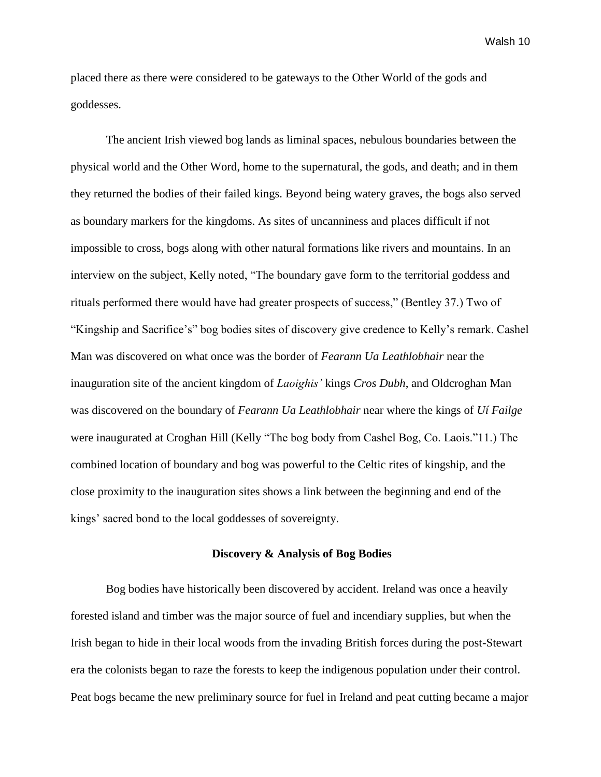placed there as there were considered to be gateways to the Other World of the gods and goddesses.

The ancient Irish viewed bog lands as liminal spaces, nebulous boundaries between the physical world and the Other Word, home to the supernatural, the gods, and death; and in them they returned the bodies of their failed kings. Beyond being watery graves, the bogs also served as boundary markers for the kingdoms. As sites of uncanniness and places difficult if not impossible to cross, bogs along with other natural formations like rivers and mountains. In an interview on the subject, Kelly noted, "The boundary gave form to the territorial goddess and rituals performed there would have had greater prospects of success," (Bentley 37.) Two of "Kingship and Sacrifice's" bog bodies sites of discovery give credence to Kelly's remark. Cashel Man was discovered on what once was the border of *Fearann Ua Leathlobhair* near the inauguration site of the ancient kingdom of *Laoighis'* kings *Cros Dubh*, and Oldcroghan Man was discovered on the boundary of *Fearann Ua Leathlobhair* near where the kings of *Uí Failge*  were inaugurated at Croghan Hill (Kelly "The bog body from Cashel Bog, Co. Laois."11.) The combined location of boundary and bog was powerful to the Celtic rites of kingship, and the close proximity to the inauguration sites shows a link between the beginning and end of the kings' sacred bond to the local goddesses of sovereignty.

### **Discovery & Analysis of Bog Bodies**

Bog bodies have historically been discovered by accident. Ireland was once a heavily forested island and timber was the major source of fuel and incendiary supplies, but when the Irish began to hide in their local woods from the invading British forces during the post-Stewart era the colonists began to raze the forests to keep the indigenous population under their control. Peat bogs became the new preliminary source for fuel in Ireland and peat cutting became a major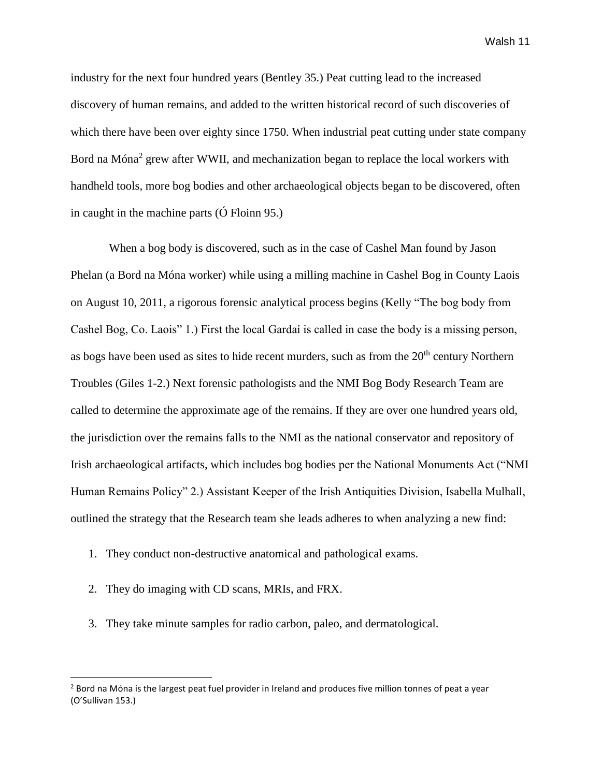industry for the next four hundred years (Bentley 35.) Peat cutting lead to the increased discovery of human remains, and added to the written historical record of such discoveries of which there have been over eighty since 1750. When industrial peat cutting under state company Bord na Móna<sup>2</sup> grew after WWII, and mechanization began to replace the local workers with handheld tools, more bog bodies and other archaeological objects began to be discovered, often in caught in the machine parts (Ó Floinn 95.)

When a bog body is discovered, such as in the case of Cashel Man found by Jason Phelan (a Bord na Móna worker) while using a milling machine in Cashel Bog in County Laois on August 10, 2011, a rigorous forensic analytical process begins (Kelly "The bog body from Cashel Bog, Co. Laois" 1.) First the local Gardaí is called in case the body is a missing person, as bogs have been used as sites to hide recent murders, such as from the  $20<sup>th</sup>$  century Northern Troubles (Giles 1-2.) Next forensic pathologists and the NMI Bog Body Research Team are called to determine the approximate age of the remains. If they are over one hundred years old, the jurisdiction over the remains falls to the NMI as the national conservator and repository of Irish archaeological artifacts, which includes bog bodies per the National Monuments Act ("NMI Human Remains Policy" 2.) Assistant Keeper of the Irish Antiquities Division, Isabella Mulhall, outlined the strategy that the Research team she leads adheres to when analyzing a new find:

- 1. They conduct non-destructive anatomical and pathological exams.
- 2. They do imaging with CD scans, MRIs, and FRX.

 $\overline{\phantom{a}}$ 

3. They take minute samples for radio carbon, paleo, and dermatological.

<sup>&</sup>lt;sup>2</sup> Bord na Móna is the largest peat fuel provider in Ireland and produces five million tonnes of peat a year (O'Sullivan 153.)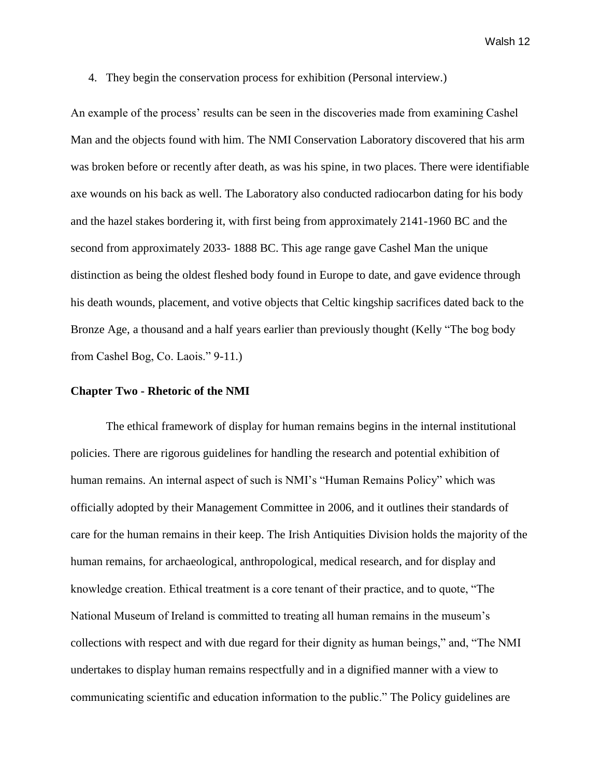4. They begin the conservation process for exhibition (Personal interview.)

An example of the process' results can be seen in the discoveries made from examining Cashel Man and the objects found with him. The NMI Conservation Laboratory discovered that his arm was broken before or recently after death, as was his spine, in two places. There were identifiable axe wounds on his back as well. The Laboratory also conducted radiocarbon dating for his body and the hazel stakes bordering it, with first being from approximately 2141-1960 BC and the second from approximately 2033- 1888 BC. This age range gave Cashel Man the unique distinction as being the oldest fleshed body found in Europe to date, and gave evidence through his death wounds, placement, and votive objects that Celtic kingship sacrifices dated back to the Bronze Age, a thousand and a half years earlier than previously thought (Kelly "The bog body from Cashel Bog, Co. Laois." 9-11.)

#### **Chapter Two - Rhetoric of the NMI**

The ethical framework of display for human remains begins in the internal institutional policies. There are rigorous guidelines for handling the research and potential exhibition of human remains. An internal aspect of such is NMI's "Human Remains Policy" which was officially adopted by their Management Committee in 2006, and it outlines their standards of care for the human remains in their keep. The Irish Antiquities Division holds the majority of the human remains, for archaeological, anthropological, medical research, and for display and knowledge creation. Ethical treatment is a core tenant of their practice, and to quote, "The National Museum of Ireland is committed to treating all human remains in the museum's collections with respect and with due regard for their dignity as human beings," and, "The NMI undertakes to display human remains respectfully and in a dignified manner with a view to communicating scientific and education information to the public." The Policy guidelines are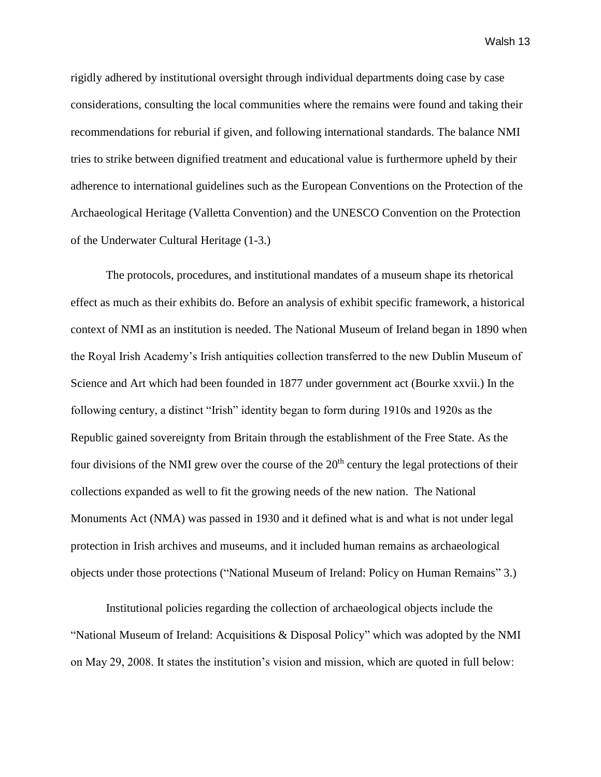rigidly adhered by institutional oversight through individual departments doing case by case considerations, consulting the local communities where the remains were found and taking their recommendations for reburial if given, and following international standards. The balance NMI tries to strike between dignified treatment and educational value is furthermore upheld by their adherence to international guidelines such as the European Conventions on the Protection of the Archaeological Heritage (Valletta Convention) and the UNESCO Convention on the Protection of the Underwater Cultural Heritage (1-3.)

The protocols, procedures, and institutional mandates of a museum shape its rhetorical effect as much as their exhibits do. Before an analysis of exhibit specific framework, a historical context of NMI as an institution is needed. The National Museum of Ireland began in 1890 when the Royal Irish Academy's Irish antiquities collection transferred to the new Dublin Museum of Science and Art which had been founded in 1877 under government act (Bourke xxvii.) In the following century, a distinct "Irish" identity began to form during 1910s and 1920s as the Republic gained sovereignty from Britain through the establishment of the Free State. As the four divisions of the NMI grew over the course of the  $20<sup>th</sup>$  century the legal protections of their collections expanded as well to fit the growing needs of the new nation. The National Monuments Act (NMA) was passed in 1930 and it defined what is and what is not under legal protection in Irish archives and museums, and it included human remains as archaeological objects under those protections ("National Museum of Ireland: Policy on Human Remains" 3.)

Institutional policies regarding the collection of archaeological objects include the "National Museum of Ireland: Acquisitions & Disposal Policy" which was adopted by the NMI on May 29, 2008. It states the institution's vision and mission, which are quoted in full below: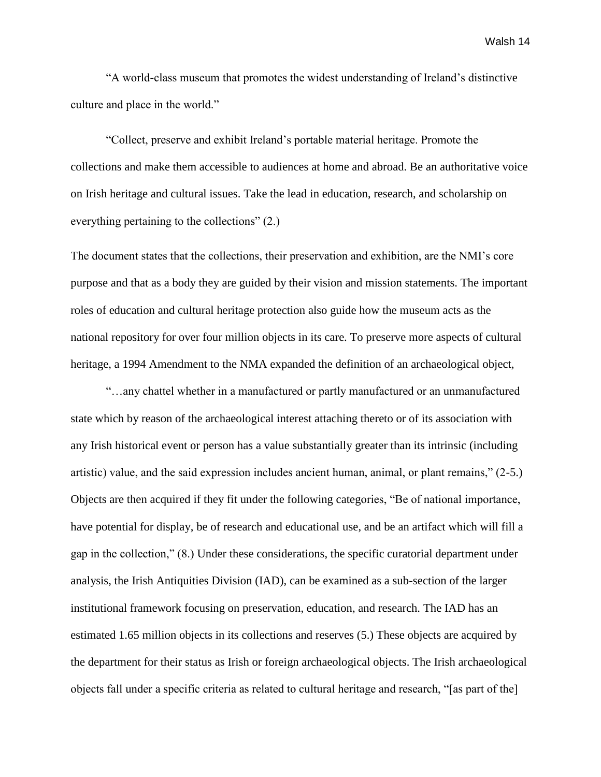"A world-class museum that promotes the widest understanding of Ireland's distinctive culture and place in the world."

"Collect, preserve and exhibit Ireland's portable material heritage. Promote the collections and make them accessible to audiences at home and abroad. Be an authoritative voice on Irish heritage and cultural issues. Take the lead in education, research, and scholarship on everything pertaining to the collections" (2.)

The document states that the collections, their preservation and exhibition, are the NMI's core purpose and that as a body they are guided by their vision and mission statements. The important roles of education and cultural heritage protection also guide how the museum acts as the national repository for over four million objects in its care. To preserve more aspects of cultural heritage, a 1994 Amendment to the NMA expanded the definition of an archaeological object,

"…any chattel whether in a manufactured or partly manufactured or an unmanufactured state which by reason of the archaeological interest attaching thereto or of its association with any Irish historical event or person has a value substantially greater than its intrinsic (including artistic) value, and the said expression includes ancient human, animal, or plant remains," (2-5.) Objects are then acquired if they fit under the following categories, "Be of national importance, have potential for display, be of research and educational use, and be an artifact which will fill a gap in the collection," (8.) Under these considerations, the specific curatorial department under analysis, the Irish Antiquities Division (IAD), can be examined as a sub-section of the larger institutional framework focusing on preservation, education, and research. The IAD has an estimated 1.65 million objects in its collections and reserves (5.) These objects are acquired by the department for their status as Irish or foreign archaeological objects. The Irish archaeological objects fall under a specific criteria as related to cultural heritage and research, "[as part of the]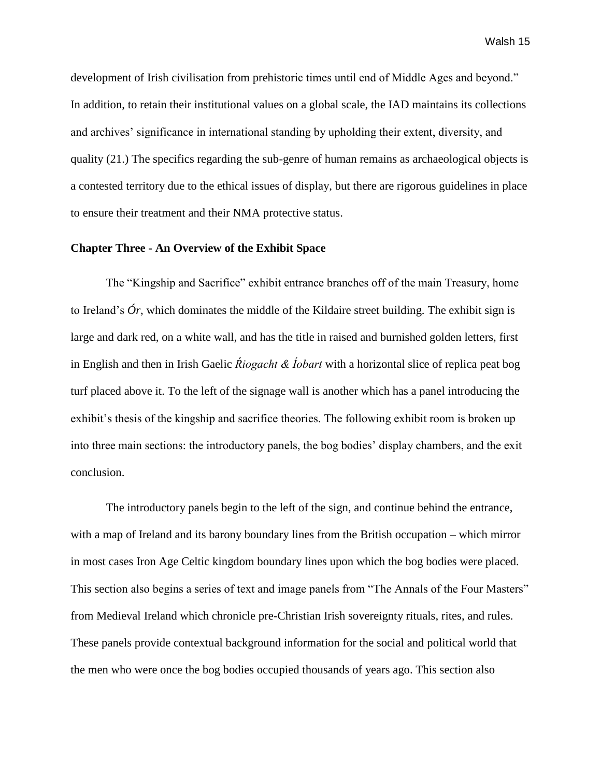development of Irish civilisation from prehistoric times until end of Middle Ages and beyond." In addition, to retain their institutional values on a global scale, the IAD maintains its collections and archives' significance in international standing by upholding their extent, diversity, and quality (21.) The specifics regarding the sub-genre of human remains as archaeological objects is a contested territory due to the ethical issues of display, but there are rigorous guidelines in place to ensure their treatment and their NMA protective status.

# **Chapter Three - An Overview of the Exhibit Space**

The "Kingship and Sacrifice" exhibit entrance branches off of the main Treasury, home to Ireland's *Ór*, which dominates the middle of the Kildaire street building. The exhibit sign is large and dark red, on a white wall, and has the title in raised and burnished golden letters, first in English and then in Irish Gaelic *Ŕiogacht & Íobart* with a horizontal slice of replica peat bog turf placed above it. To the left of the signage wall is another which has a panel introducing the exhibit's thesis of the kingship and sacrifice theories. The following exhibit room is broken up into three main sections: the introductory panels, the bog bodies' display chambers, and the exit conclusion.

The introductory panels begin to the left of the sign, and continue behind the entrance, with a map of Ireland and its barony boundary lines from the British occupation – which mirror in most cases Iron Age Celtic kingdom boundary lines upon which the bog bodies were placed. This section also begins a series of text and image panels from "The Annals of the Four Masters" from Medieval Ireland which chronicle pre-Christian Irish sovereignty rituals, rites, and rules. These panels provide contextual background information for the social and political world that the men who were once the bog bodies occupied thousands of years ago. This section also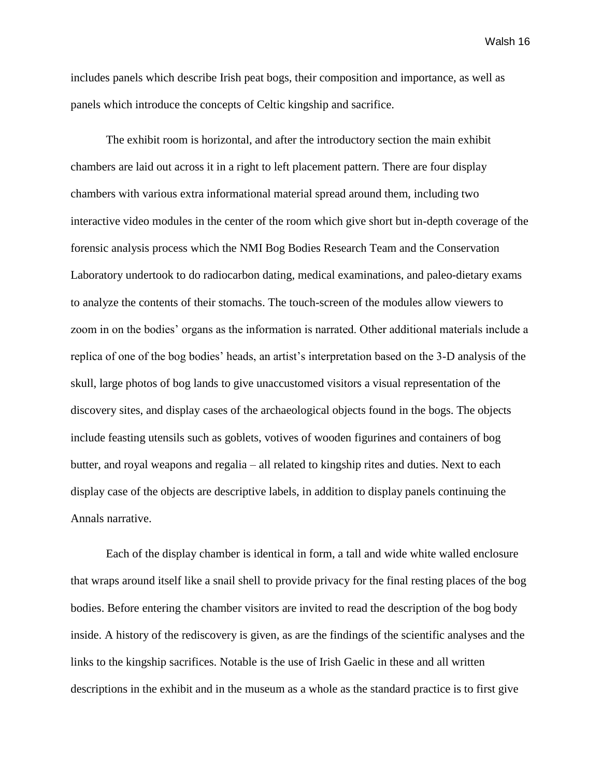includes panels which describe Irish peat bogs, their composition and importance, as well as panels which introduce the concepts of Celtic kingship and sacrifice.

The exhibit room is horizontal, and after the introductory section the main exhibit chambers are laid out across it in a right to left placement pattern. There are four display chambers with various extra informational material spread around them, including two interactive video modules in the center of the room which give short but in-depth coverage of the forensic analysis process which the NMI Bog Bodies Research Team and the Conservation Laboratory undertook to do radiocarbon dating, medical examinations, and paleo-dietary exams to analyze the contents of their stomachs. The touch-screen of the modules allow viewers to zoom in on the bodies' organs as the information is narrated. Other additional materials include a replica of one of the bog bodies' heads, an artist's interpretation based on the 3-D analysis of the skull, large photos of bog lands to give unaccustomed visitors a visual representation of the discovery sites, and display cases of the archaeological objects found in the bogs. The objects include feasting utensils such as goblets, votives of wooden figurines and containers of bog butter, and royal weapons and regalia – all related to kingship rites and duties. Next to each display case of the objects are descriptive labels, in addition to display panels continuing the Annals narrative.

Each of the display chamber is identical in form, a tall and wide white walled enclosure that wraps around itself like a snail shell to provide privacy for the final resting places of the bog bodies. Before entering the chamber visitors are invited to read the description of the bog body inside. A history of the rediscovery is given, as are the findings of the scientific analyses and the links to the kingship sacrifices. Notable is the use of Irish Gaelic in these and all written descriptions in the exhibit and in the museum as a whole as the standard practice is to first give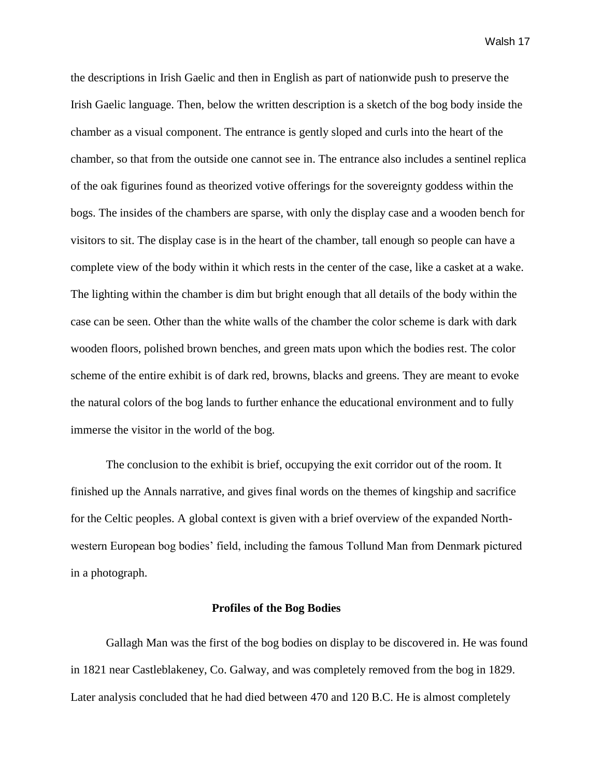the descriptions in Irish Gaelic and then in English as part of nationwide push to preserve the Irish Gaelic language. Then, below the written description is a sketch of the bog body inside the chamber as a visual component. The entrance is gently sloped and curls into the heart of the chamber, so that from the outside one cannot see in. The entrance also includes a sentinel replica of the oak figurines found as theorized votive offerings for the sovereignty goddess within the bogs. The insides of the chambers are sparse, with only the display case and a wooden bench for visitors to sit. The display case is in the heart of the chamber, tall enough so people can have a complete view of the body within it which rests in the center of the case, like a casket at a wake. The lighting within the chamber is dim but bright enough that all details of the body within the case can be seen. Other than the white walls of the chamber the color scheme is dark with dark wooden floors, polished brown benches, and green mats upon which the bodies rest. The color scheme of the entire exhibit is of dark red, browns, blacks and greens. They are meant to evoke the natural colors of the bog lands to further enhance the educational environment and to fully immerse the visitor in the world of the bog.

The conclusion to the exhibit is brief, occupying the exit corridor out of the room. It finished up the Annals narrative, and gives final words on the themes of kingship and sacrifice for the Celtic peoples. A global context is given with a brief overview of the expanded Northwestern European bog bodies' field, including the famous Tollund Man from Denmark pictured in a photograph.

### **Profiles of the Bog Bodies**

Gallagh Man was the first of the bog bodies on display to be discovered in. He was found in 1821 near Castleblakeney, Co. Galway, and was completely removed from the bog in 1829. Later analysis concluded that he had died between 470 and 120 B.C. He is almost completely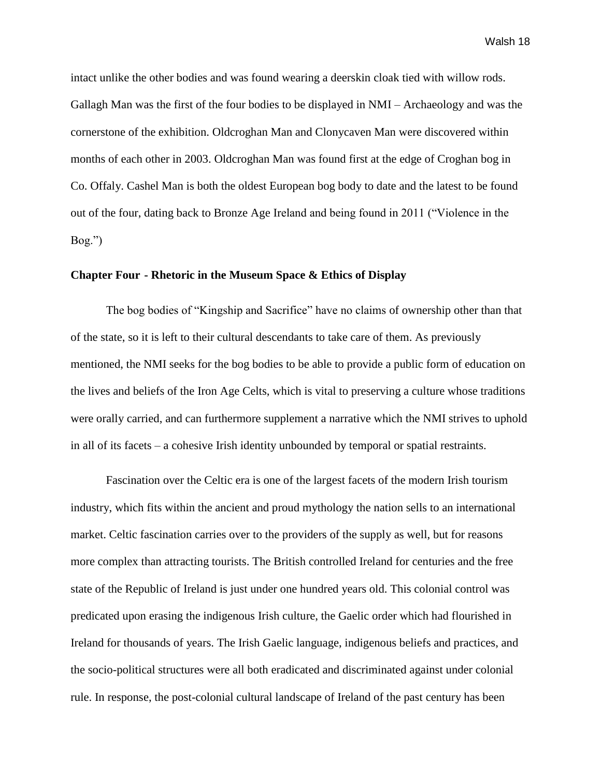intact unlike the other bodies and was found wearing a deerskin cloak tied with willow rods. Gallagh Man was the first of the four bodies to be displayed in NMI – Archaeology and was the cornerstone of the exhibition. Oldcroghan Man and Clonycaven Man were discovered within months of each other in 2003. Oldcroghan Man was found first at the edge of Croghan bog in Co. Offaly. Cashel Man is both the oldest European bog body to date and the latest to be found out of the four, dating back to Bronze Age Ireland and being found in 2011 ("Violence in the Bog.")

# **Chapter Four - Rhetoric in the Museum Space & Ethics of Display**

The bog bodies of "Kingship and Sacrifice" have no claims of ownership other than that of the state, so it is left to their cultural descendants to take care of them. As previously mentioned, the NMI seeks for the bog bodies to be able to provide a public form of education on the lives and beliefs of the Iron Age Celts, which is vital to preserving a culture whose traditions were orally carried, and can furthermore supplement a narrative which the NMI strives to uphold in all of its facets – a cohesive Irish identity unbounded by temporal or spatial restraints.

Fascination over the Celtic era is one of the largest facets of the modern Irish tourism industry, which fits within the ancient and proud mythology the nation sells to an international market. Celtic fascination carries over to the providers of the supply as well, but for reasons more complex than attracting tourists. The British controlled Ireland for centuries and the free state of the Republic of Ireland is just under one hundred years old. This colonial control was predicated upon erasing the indigenous Irish culture, the Gaelic order which had flourished in Ireland for thousands of years. The Irish Gaelic language, indigenous beliefs and practices, and the socio-political structures were all both eradicated and discriminated against under colonial rule. In response, the post-colonial cultural landscape of Ireland of the past century has been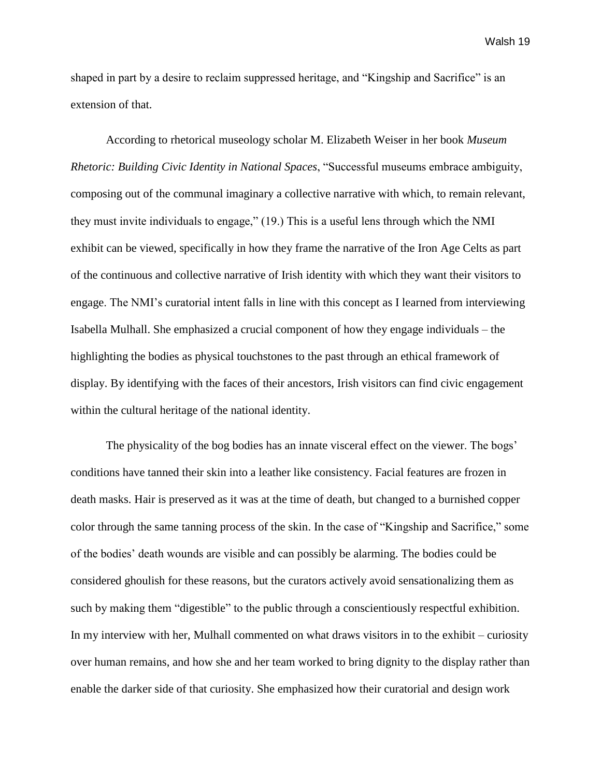shaped in part by a desire to reclaim suppressed heritage, and "Kingship and Sacrifice" is an extension of that.

According to rhetorical museology scholar M. Elizabeth Weiser in her book *Museum Rhetoric: Building Civic Identity in National Spaces*, "Successful museums embrace ambiguity, composing out of the communal imaginary a collective narrative with which, to remain relevant, they must invite individuals to engage," (19.) This is a useful lens through which the NMI exhibit can be viewed, specifically in how they frame the narrative of the Iron Age Celts as part of the continuous and collective narrative of Irish identity with which they want their visitors to engage. The NMI's curatorial intent falls in line with this concept as I learned from interviewing Isabella Mulhall. She emphasized a crucial component of how they engage individuals – the highlighting the bodies as physical touchstones to the past through an ethical framework of display. By identifying with the faces of their ancestors, Irish visitors can find civic engagement within the cultural heritage of the national identity.

The physicality of the bog bodies has an innate visceral effect on the viewer. The bogs' conditions have tanned their skin into a leather like consistency. Facial features are frozen in death masks. Hair is preserved as it was at the time of death, but changed to a burnished copper color through the same tanning process of the skin. In the case of "Kingship and Sacrifice," some of the bodies' death wounds are visible and can possibly be alarming. The bodies could be considered ghoulish for these reasons, but the curators actively avoid sensationalizing them as such by making them "digestible" to the public through a conscientiously respectful exhibition. In my interview with her, Mulhall commented on what draws visitors in to the exhibit – curiosity over human remains, and how she and her team worked to bring dignity to the display rather than enable the darker side of that curiosity. She emphasized how their curatorial and design work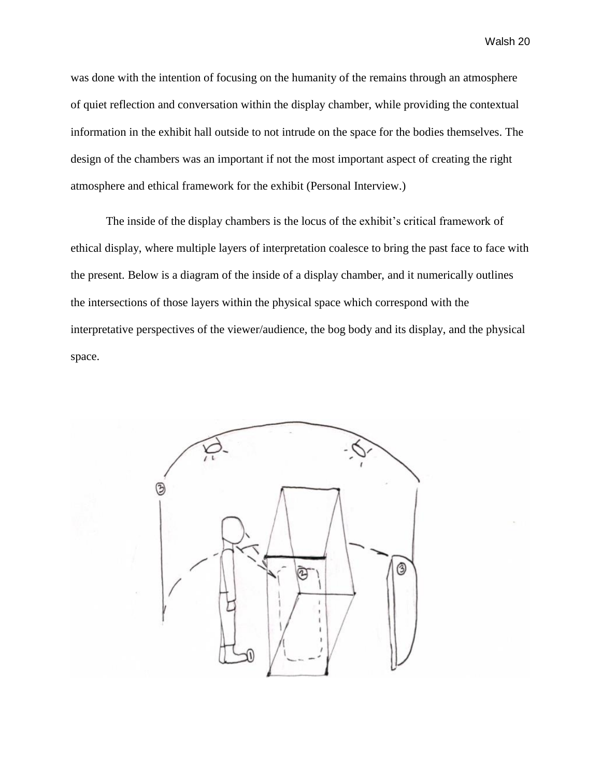was done with the intention of focusing on the humanity of the remains through an atmosphere of quiet reflection and conversation within the display chamber, while providing the contextual information in the exhibit hall outside to not intrude on the space for the bodies themselves. The design of the chambers was an important if not the most important aspect of creating the right atmosphere and ethical framework for the exhibit (Personal Interview.)

The inside of the display chambers is the locus of the exhibit's critical framework of ethical display, where multiple layers of interpretation coalesce to bring the past face to face with the present. Below is a diagram of the inside of a display chamber, and it numerically outlines the intersections of those layers within the physical space which correspond with the interpretative perspectives of the viewer/audience, the bog body and its display, and the physical space.

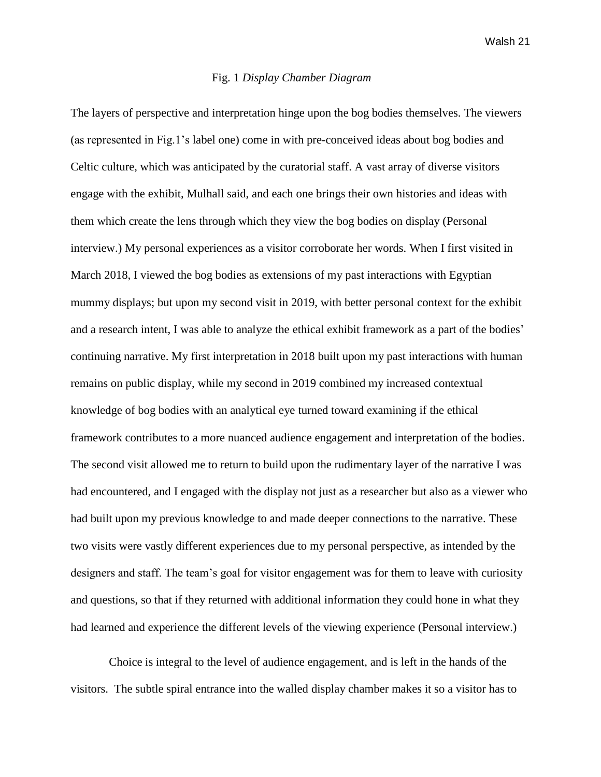### Fig. 1 *Display Chamber Diagram*

The layers of perspective and interpretation hinge upon the bog bodies themselves. The viewers (as represented in Fig.1's label one) come in with pre-conceived ideas about bog bodies and Celtic culture, which was anticipated by the curatorial staff. A vast array of diverse visitors engage with the exhibit, Mulhall said, and each one brings their own histories and ideas with them which create the lens through which they view the bog bodies on display (Personal interview.) My personal experiences as a visitor corroborate her words. When I first visited in March 2018, I viewed the bog bodies as extensions of my past interactions with Egyptian mummy displays; but upon my second visit in 2019, with better personal context for the exhibit and a research intent, I was able to analyze the ethical exhibit framework as a part of the bodies' continuing narrative. My first interpretation in 2018 built upon my past interactions with human remains on public display, while my second in 2019 combined my increased contextual knowledge of bog bodies with an analytical eye turned toward examining if the ethical framework contributes to a more nuanced audience engagement and interpretation of the bodies. The second visit allowed me to return to build upon the rudimentary layer of the narrative I was had encountered, and I engaged with the display not just as a researcher but also as a viewer who had built upon my previous knowledge to and made deeper connections to the narrative. These two visits were vastly different experiences due to my personal perspective, as intended by the designers and staff. The team's goal for visitor engagement was for them to leave with curiosity and questions, so that if they returned with additional information they could hone in what they had learned and experience the different levels of the viewing experience (Personal interview.)

Choice is integral to the level of audience engagement, and is left in the hands of the visitors. The subtle spiral entrance into the walled display chamber makes it so a visitor has to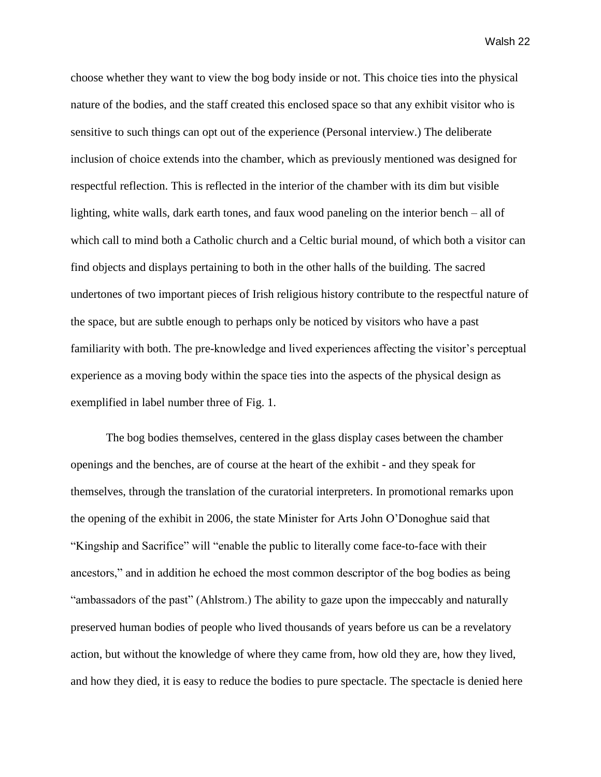choose whether they want to view the bog body inside or not. This choice ties into the physical nature of the bodies, and the staff created this enclosed space so that any exhibit visitor who is sensitive to such things can opt out of the experience (Personal interview.) The deliberate inclusion of choice extends into the chamber, which as previously mentioned was designed for respectful reflection. This is reflected in the interior of the chamber with its dim but visible lighting, white walls, dark earth tones, and faux wood paneling on the interior bench – all of which call to mind both a Catholic church and a Celtic burial mound, of which both a visitor can find objects and displays pertaining to both in the other halls of the building. The sacred undertones of two important pieces of Irish religious history contribute to the respectful nature of the space, but are subtle enough to perhaps only be noticed by visitors who have a past familiarity with both. The pre-knowledge and lived experiences affecting the visitor's perceptual experience as a moving body within the space ties into the aspects of the physical design as exemplified in label number three of Fig. 1.

The bog bodies themselves, centered in the glass display cases between the chamber openings and the benches, are of course at the heart of the exhibit - and they speak for themselves, through the translation of the curatorial interpreters. In promotional remarks upon the opening of the exhibit in 2006, the state Minister for Arts John O'Donoghue said that "Kingship and Sacrifice" will "enable the public to literally come face-to-face with their ancestors," and in addition he echoed the most common descriptor of the bog bodies as being "ambassadors of the past" (Ahlstrom.) The ability to gaze upon the impeccably and naturally preserved human bodies of people who lived thousands of years before us can be a revelatory action, but without the knowledge of where they came from, how old they are, how they lived, and how they died, it is easy to reduce the bodies to pure spectacle. The spectacle is denied here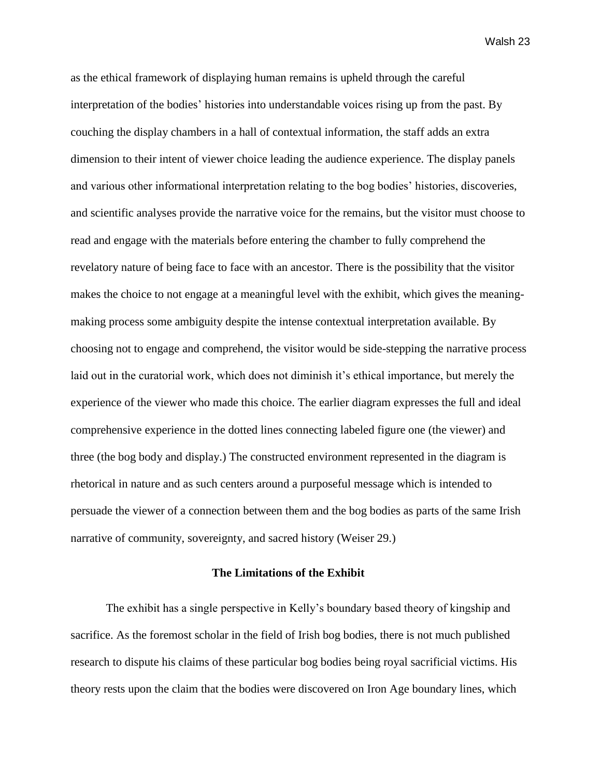as the ethical framework of displaying human remains is upheld through the careful interpretation of the bodies' histories into understandable voices rising up from the past. By couching the display chambers in a hall of contextual information, the staff adds an extra dimension to their intent of viewer choice leading the audience experience. The display panels and various other informational interpretation relating to the bog bodies' histories, discoveries, and scientific analyses provide the narrative voice for the remains, but the visitor must choose to read and engage with the materials before entering the chamber to fully comprehend the revelatory nature of being face to face with an ancestor. There is the possibility that the visitor makes the choice to not engage at a meaningful level with the exhibit, which gives the meaningmaking process some ambiguity despite the intense contextual interpretation available. By choosing not to engage and comprehend, the visitor would be side-stepping the narrative process laid out in the curatorial work, which does not diminish it's ethical importance, but merely the experience of the viewer who made this choice. The earlier diagram expresses the full and ideal comprehensive experience in the dotted lines connecting labeled figure one (the viewer) and three (the bog body and display.) The constructed environment represented in the diagram is rhetorical in nature and as such centers around a purposeful message which is intended to persuade the viewer of a connection between them and the bog bodies as parts of the same Irish narrative of community, sovereignty, and sacred history (Weiser 29.)

# **The Limitations of the Exhibit**

The exhibit has a single perspective in Kelly's boundary based theory of kingship and sacrifice. As the foremost scholar in the field of Irish bog bodies, there is not much published research to dispute his claims of these particular bog bodies being royal sacrificial victims. His theory rests upon the claim that the bodies were discovered on Iron Age boundary lines, which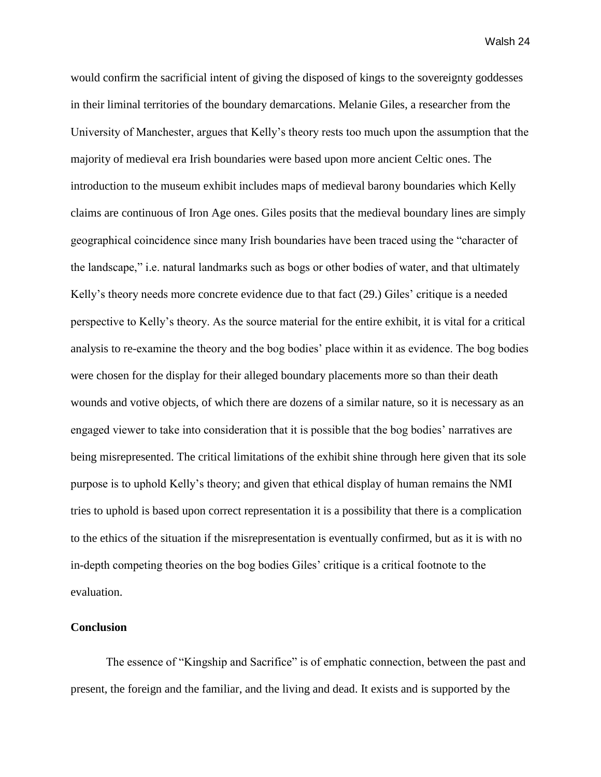would confirm the sacrificial intent of giving the disposed of kings to the sovereignty goddesses in their liminal territories of the boundary demarcations. Melanie Giles, a researcher from the University of Manchester, argues that Kelly's theory rests too much upon the assumption that the majority of medieval era Irish boundaries were based upon more ancient Celtic ones. The introduction to the museum exhibit includes maps of medieval barony boundaries which Kelly claims are continuous of Iron Age ones. Giles posits that the medieval boundary lines are simply geographical coincidence since many Irish boundaries have been traced using the "character of the landscape," i.e. natural landmarks such as bogs or other bodies of water, and that ultimately Kelly's theory needs more concrete evidence due to that fact (29.) Giles' critique is a needed perspective to Kelly's theory. As the source material for the entire exhibit, it is vital for a critical analysis to re-examine the theory and the bog bodies' place within it as evidence. The bog bodies were chosen for the display for their alleged boundary placements more so than their death wounds and votive objects, of which there are dozens of a similar nature, so it is necessary as an engaged viewer to take into consideration that it is possible that the bog bodies' narratives are being misrepresented. The critical limitations of the exhibit shine through here given that its sole purpose is to uphold Kelly's theory; and given that ethical display of human remains the NMI tries to uphold is based upon correct representation it is a possibility that there is a complication to the ethics of the situation if the misrepresentation is eventually confirmed, but as it is with no in-depth competing theories on the bog bodies Giles' critique is a critical footnote to the evaluation.

# **Conclusion**

The essence of "Kingship and Sacrifice" is of emphatic connection, between the past and present, the foreign and the familiar, and the living and dead. It exists and is supported by the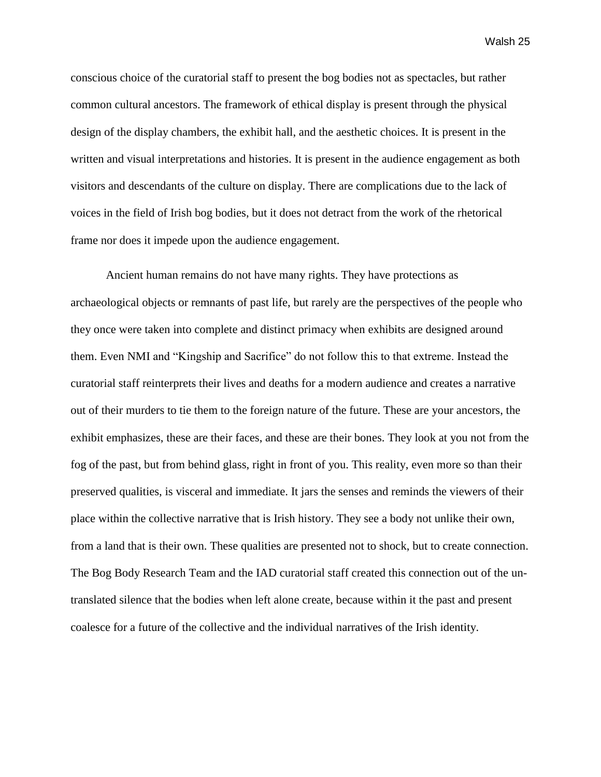conscious choice of the curatorial staff to present the bog bodies not as spectacles, but rather common cultural ancestors. The framework of ethical display is present through the physical design of the display chambers, the exhibit hall, and the aesthetic choices. It is present in the written and visual interpretations and histories. It is present in the audience engagement as both visitors and descendants of the culture on display. There are complications due to the lack of voices in the field of Irish bog bodies, but it does not detract from the work of the rhetorical frame nor does it impede upon the audience engagement.

Ancient human remains do not have many rights. They have protections as archaeological objects or remnants of past life, but rarely are the perspectives of the people who they once were taken into complete and distinct primacy when exhibits are designed around them. Even NMI and "Kingship and Sacrifice" do not follow this to that extreme. Instead the curatorial staff reinterprets their lives and deaths for a modern audience and creates a narrative out of their murders to tie them to the foreign nature of the future. These are your ancestors, the exhibit emphasizes, these are their faces, and these are their bones. They look at you not from the fog of the past, but from behind glass, right in front of you. This reality, even more so than their preserved qualities, is visceral and immediate. It jars the senses and reminds the viewers of their place within the collective narrative that is Irish history. They see a body not unlike their own, from a land that is their own. These qualities are presented not to shock, but to create connection. The Bog Body Research Team and the IAD curatorial staff created this connection out of the untranslated silence that the bodies when left alone create, because within it the past and present coalesce for a future of the collective and the individual narratives of the Irish identity.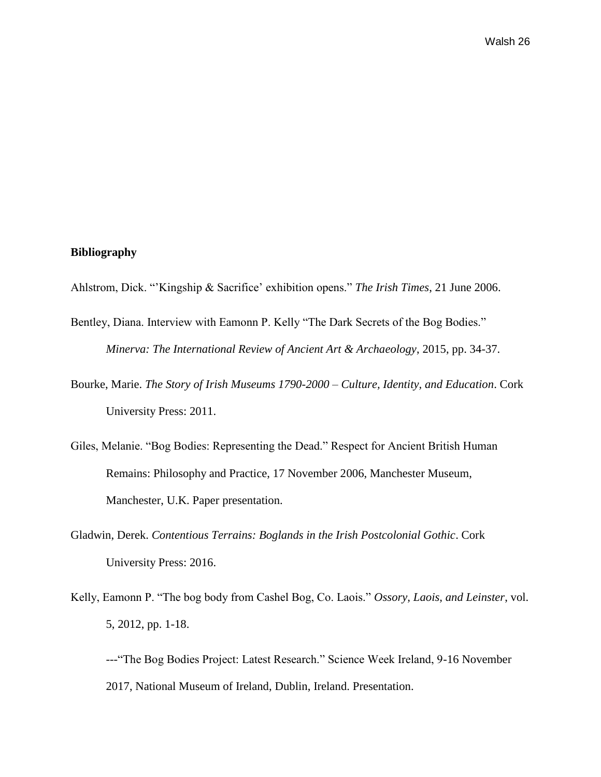# **Bibliography**

- Ahlstrom, Dick. "'Kingship & Sacrifice' exhibition opens." *The Irish Times*, 21 June 2006.
- Bentley, Diana. Interview with Eamonn P. Kelly "The Dark Secrets of the Bog Bodies." *Minerva: The International Review of Ancient Art & Archaeology*, 2015, pp. 34-37.
- Bourke, Marie. *The Story of Irish Museums 1790-2000 – Culture, Identity, and Education*. Cork University Press: 2011.
- Giles, Melanie. "Bog Bodies: Representing the Dead." Respect for Ancient British Human Remains: Philosophy and Practice, 17 November 2006, Manchester Museum, Manchester, U.K. Paper presentation.
- Gladwin, Derek. *Contentious Terrains: Boglands in the Irish Postcolonial Gothic*. Cork University Press: 2016.
- Kelly, Eamonn P. "The bog body from Cashel Bog, Co. Laois." *Ossory, Laois, and Leinster*, vol. 5, 2012, pp. 1-18.

---"The Bog Bodies Project: Latest Research." Science Week Ireland, 9-16 November 2017, National Museum of Ireland, Dublin, Ireland. Presentation.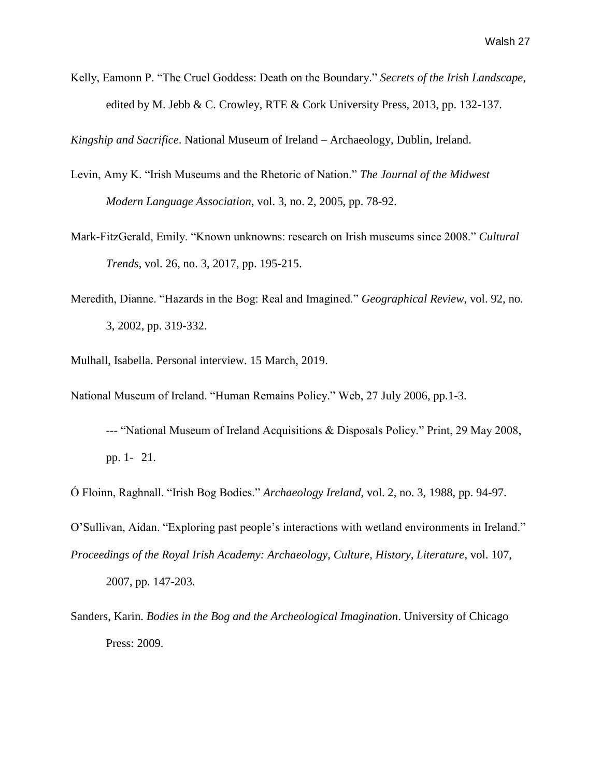Kelly, Eamonn P. "The Cruel Goddess: Death on the Boundary." *Secrets of the Irish Landscape*, edited by M. Jebb & C. Crowley, RTE & Cork University Press, 2013, pp. 132-137.

*Kingship and Sacrifice*. National Museum of Ireland – Archaeology, Dublin, Ireland.

- Levin, Amy K. "Irish Museums and the Rhetoric of Nation." *The Journal of the Midwest Modern Language Association*, vol. 3, no. 2, 2005, pp. 78-92.
- Mark-FitzGerald, Emily. "Known unknowns: research on Irish museums since 2008." *Cultural Trends*, vol. 26, no. 3, 2017, pp. 195-215.
- Meredith, Dianne. "Hazards in the Bog: Real and Imagined." *Geographical Review*, vol. 92, no. 3, 2002, pp. 319-332.
- Mulhall, Isabella. Personal interview. 15 March, 2019.
- National Museum of Ireland. "Human Remains Policy." Web, 27 July 2006, pp.1-3.
	- --- "National Museum of Ireland Acquisitions & Disposals Policy." Print, 29 May 2008, pp. 1- 21.
- Ó Floinn, Raghnall. "Irish Bog Bodies." *Archaeology Ireland*, vol. 2, no. 3, 1988, pp. 94-97.
- O'Sullivan, Aidan. "Exploring past people's interactions with wetland environments in Ireland." *Proceedings of the Royal Irish Academy: Archaeology, Culture, History, Literature*, vol. 107, 2007, pp. 147-203.
- Sanders, Karin. *Bodies in the Bog and the Archeological Imagination*. University of Chicago Press: 2009.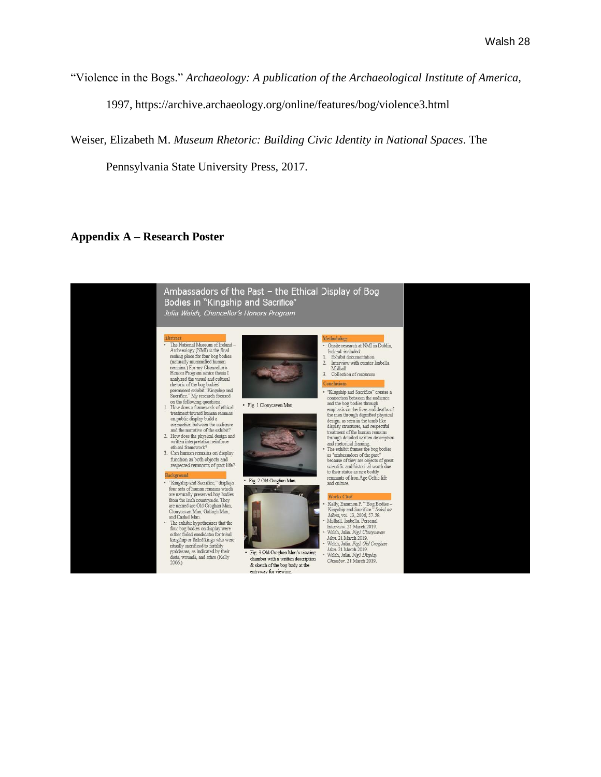"Violence in the Bogs." *Archaeology: A publication of the Archaeological Institute of America,*

1997, https://archive.archaeology.org/online/features/bog/violence3.html

Weiser, Elizabeth M. *Museum Rhetoric: Building Civic Identity in National Spaces*. The

Pennsylvania State University Press, 2017.

# **Appendix A – Research Poster**

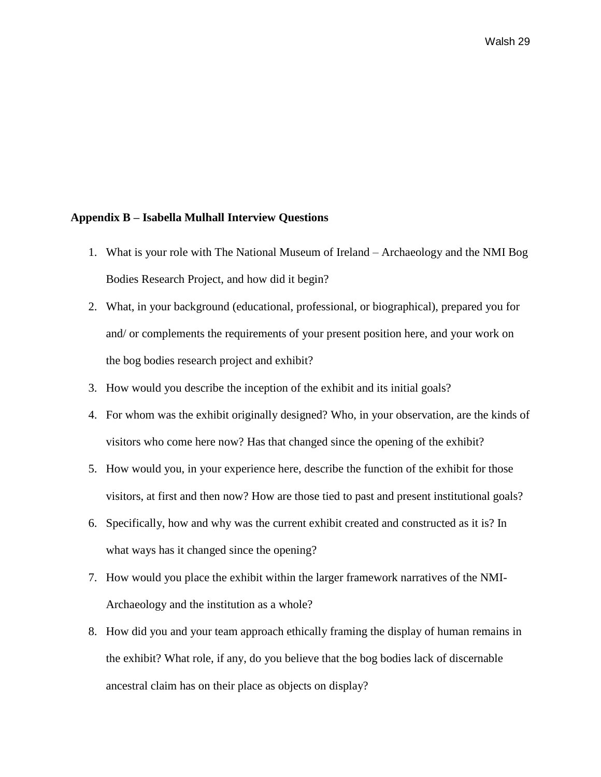#### **Appendix B – Isabella Mulhall Interview Questions**

- 1. What is your role with The National Museum of Ireland Archaeology and the NMI Bog Bodies Research Project, and how did it begin?
- 2. What, in your background (educational, professional, or biographical), prepared you for and/ or complements the requirements of your present position here, and your work on the bog bodies research project and exhibit?
- 3. How would you describe the inception of the exhibit and its initial goals?
- 4. For whom was the exhibit originally designed? Who, in your observation, are the kinds of visitors who come here now? Has that changed since the opening of the exhibit?
- 5. How would you, in your experience here, describe the function of the exhibit for those visitors, at first and then now? How are those tied to past and present institutional goals?
- 6. Specifically, how and why was the current exhibit created and constructed as it is? In what ways has it changed since the opening?
- 7. How would you place the exhibit within the larger framework narratives of the NMI-Archaeology and the institution as a whole?
- 8. How did you and your team approach ethically framing the display of human remains in the exhibit? What role, if any, do you believe that the bog bodies lack of discernable ancestral claim has on their place as objects on display?